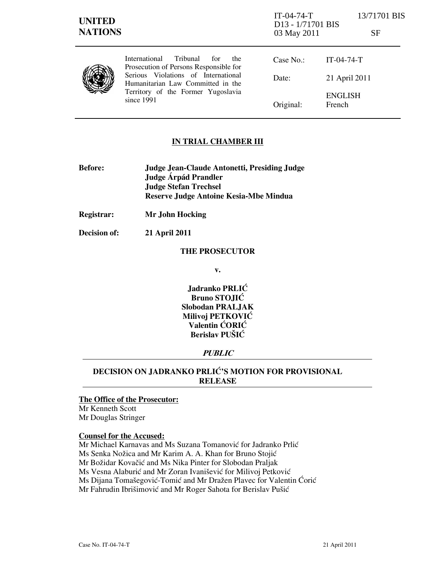| <b>UNITED</b><br><b>NATIONS</b> |                                                                                                                                                                                                                            | $IT-04-74-T$<br>D <sub>13</sub> - 1/71701 BIS<br>03 May 2011 | 13/71701 BIS<br>SF       |
|---------------------------------|----------------------------------------------------------------------------------------------------------------------------------------------------------------------------------------------------------------------------|--------------------------------------------------------------|--------------------------|
|                                 | <b>Tribunal</b><br>International<br>for<br>the<br>Prosecution of Persons Responsible for<br>Serious Violations of International<br>Humanitarian Law Committed in the<br>Territory of the Former Yugoslavia<br>since $1991$ | Case No.:                                                    | $IT-04-74-T$             |
|                                 |                                                                                                                                                                                                                            | Date:                                                        | 21 April 2011            |
|                                 |                                                                                                                                                                                                                            | Original:                                                    | <b>ENGLISH</b><br>French |

## IN TRIAL CHAMBER III

- Before: Judge Jean-Claude Antonetti, Presiding Judge Judge Árpád Prandler Judge Stefan Trechsel Reserve Judge Antoine Kesia-Mbe Mindua
- Registrar: Mr John Hocking

Decision of: 21 April 2011

#### THE PROSECUTOR

v.

Jadranko PRLIĆ Bruno STOJIĆ Slobodan PRALJAK Milivoj PETKOVIĆ Valentin ĆORIĆ Berislav PUŠIĆ

## PUBLIC

# DECISION ON JADRANKO PRLIĆ'S MOTION FOR PROVISIONAL RELEASE

## The Office of the Prosecutor:

Mr Kenneth Scott Mr Douglas Stringer

#### Counsel for the Accused:

Mr Michael Karnavas and Ms Suzana Tomanović for Jadranko Prlić Ms Senka Nožica and Mr Karim A. A. Khan for Bruno Stojić Mr Božidar Kovačić and Ms Nika Pinter for Slobodan Praljak Ms Vesna Alaburić and Mr Zoran Ivanišević for Milivoj Petković

Ms Dijana Tomašegović-Tomić and Mr Dražen Plavec for Valentin Ćorić

Mr Fahrudin Ibrišimović and Mr Roger Sahota for Berislav Pušić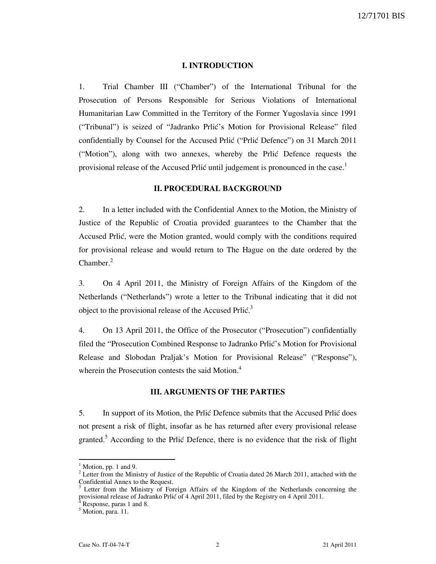#### I. INTRODUCTION

1. Trial Chamber III ("Chamber") of the International Tribunal for the Prosecution of Persons Responsible for Serious Violations of International Humanitarian Law Committed in the Territory of the Former Yugoslavia since 1991 ("Tribunal") is seized of "Jadranko Prlić's Motion for Provisional Release" filed confidentially by Counsel for the Accused Prlić ("Prlić Defence") on 31 March 2011 ("Motion"), along with two annexes, whereby the Prlić Defence requests the provisional release of the Accused Prlić until judgement is pronounced in the case.<sup>1</sup>

## II. PROCEDURAL BACKGROUND

2. In a letter included with the Confidential Annex to the Motion, the Ministry of Justice of the Republic of Croatia provided guarantees to the Chamber that the Accused Prlić, were the Motion granted, would comply with the conditions required for provisional release and would return to The Hague on the date ordered by the Chamber.<sup>2</sup>

3. On 4 April 2011, the Ministry of Foreign Affairs of the Kingdom of the Netherlands ("Netherlands") wrote a letter to the Tribunal indicating that it did not object to the provisional release of the Accused Prlić.<sup>3</sup>

4. On 13 April 2011, the Office of the Prosecutor ("Prosecution") confidentially filed the "Prosecution Combined Response to Jadranko Prlić's Motion for Provisional Release and Slobodan Praljak's Motion for Provisional Release" ("Response"), wherein the Prosecution contests the said Motion.<sup>4</sup>

## III. ARGUMENTS OF THE PARTIES

5. In support of its Motion, the Prlić Defence submits that the Accused Prlić does not present a risk of flight, insofar as he has returned after every provisional release granted.<sup>5</sup> According to the Prlić Defence, there is no evidence that the risk of flight

 $1$  Motion, pp. 1 and 9.

 $2$  Letter from the Ministry of Justice of the Republic of Croatia dated 26 March 2011, attached with the Confidential Annex to the Request.<br><sup>3</sup> Letter from the Ministry of Form

Letter from the Ministry of Foreign Affairs of the Kingdom of the Netherlands concerning the provisional release of Jadranko Prlić of 4 April 2011, filed by the Registry on 4 April 2011.<br><sup>4</sup> Pespense, name 1 and 9

Response, paras 1 and 8.

<sup>&</sup>lt;sup>5</sup> Motion, para. 11.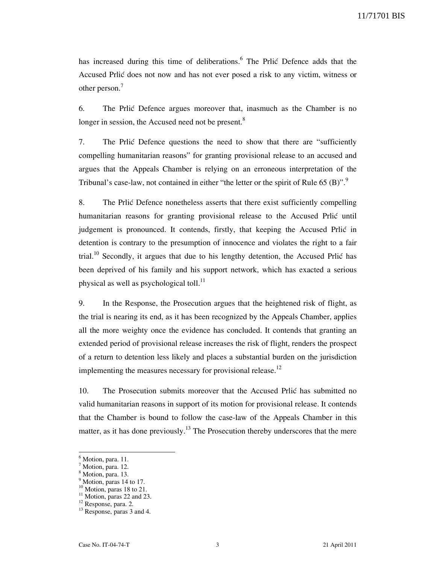11/71701 BIS

has increased during this time of deliberations.<sup>6</sup> The Prlić Defence adds that the Accused Prlić does not now and has not ever posed a risk to any victim, witness or other person.<sup>7</sup>

6. The Prlić Defence argues moreover that, inasmuch as the Chamber is no longer in session, the Accused need not be present.<sup>8</sup>

7. The Prlić Defence questions the need to show that there are "sufficiently compelling humanitarian reasons" for granting provisional release to an accused and argues that the Appeals Chamber is relying on an erroneous interpretation of the Tribunal's case-law, not contained in either "the letter or the spirit of Rule 65  $(B)$ ".

8. The Prlić Defence nonetheless asserts that there exist sufficiently compelling humanitarian reasons for granting provisional release to the Accused Prlić until judgement is pronounced. It contends, firstly, that keeping the Accused Prlić in detention is contrary to the presumption of innocence and violates the right to a fair trial.<sup>10</sup> Secondly, it argues that due to his lengthy detention, the Accused Prlić has been deprived of his family and his support network, which has exacted a serious physical as well as psychological toll.<sup>11</sup>

9. In the Response, the Prosecution argues that the heightened risk of flight, as the trial is nearing its end, as it has been recognized by the Appeals Chamber, applies all the more weighty once the evidence has concluded. It contends that granting an extended period of provisional release increases the risk of flight, renders the prospect of a return to detention less likely and places a substantial burden on the jurisdiction implementing the measures necessary for provisional release.<sup>12</sup>

10. The Prosecution submits moreover that the Accused Prlić has submitted no valid humanitarian reasons in support of its motion for provisional release. It contends that the Chamber is bound to follow the case-law of the Appeals Chamber in this matter, as it has done previously.<sup>13</sup> The Prosecution thereby underscores that the mere

<sup>&</sup>lt;sup>6</sup> Motion, para. 11.

 $^7$  Motion, para. 12.

Motion, para. 13.

<sup>&</sup>lt;sup>9</sup> Motion, paras 14 to 17.

 $10$  Motion, paras 18 to 21.

 $11$  Motion, paras 22 and 23.

<sup>12</sup> Response, para. 2.

<sup>&</sup>lt;sup>13</sup> Response, paras 3 and 4.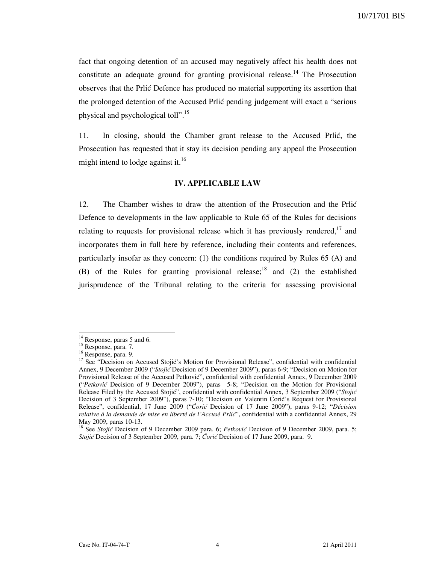fact that ongoing detention of an accused may negatively affect his health does not constitute an adequate ground for granting provisional release.<sup>14</sup> The Prosecution observes that the Prlić Defence has produced no material supporting its assertion that the prolonged detention of the Accused Prlić pending judgement will exact a "serious physical and psychological toll".<sup>15</sup>

11. In closing, should the Chamber grant release to the Accused Prlić, the Prosecution has requested that it stay its decision pending any appeal the Prosecution might intend to lodge against it.<sup>16</sup>

#### IV. APPLICABLE LAW

12. The Chamber wishes to draw the attention of the Prosecution and the Prlić Defence to developments in the law applicable to Rule 65 of the Rules for decisions relating to requests for provisional release which it has previously rendered,  $17$  and incorporates them in full here by reference, including their contents and references, particularly insofar as they concern: (1) the conditions required by Rules 65 (A) and (B) of the Rules for granting provisional release;<sup>18</sup> and (2) the established jurisprudence of the Tribunal relating to the criteria for assessing provisional

<sup>&</sup>lt;sup>14</sup> Response, paras 5 and 6.

<sup>&</sup>lt;sup>15</sup> Response, para. 7.

<sup>&</sup>lt;sup>16</sup> Response, para. 9.

<sup>&</sup>lt;sup>17</sup> See "Decision on Accused Stojić's Motion for Provisional Release", confidential with confidential Annex, 9 December 2009 ("Stojić Decision of 9 December 2009"), paras 6-9; "Decision on Motion for Provisional Release of the Accused Petković", confidential with confidential Annex, 9 December 2009 ("Petković Decision of 9 December 2009"), paras 5-8; "Decision on the Motion for Provisional Release Filed by the Accused Stojić", confidential with confidential Annex, 3 September 2009 ("Stojić Decision of 3 September 2009"), paras 7-10; "Decision on Valentin Ćorić's Request for Provisional Release", confidential, 17 June 2009 ("Ćorić Decision of 17 June 2009"), paras 9-12; "Décision relative à la demande de mise en liberté de l'Accusé Prlić", confidential with a confidential Annex, 29 May 2009, paras 10-13.

<sup>&</sup>lt;sup>18</sup> See Stojić Decision of 9 December 2009 para. 6; Petković Decision of 9 December 2009, para. 5; Stojić Decision of 3 September 2009, para. 7; Ćorić Decision of 17 June 2009, para. 9.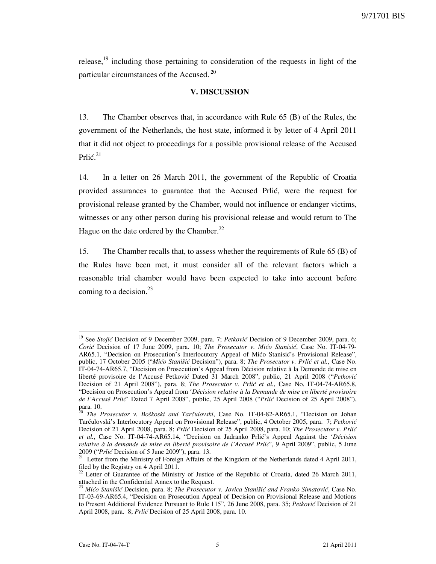release,<sup>19</sup> including those pertaining to consideration of the requests in light of the particular circumstances of the Accused.<sup>20</sup>

### V. DISCUSSION

13. The Chamber observes that, in accordance with Rule 65 (B) of the Rules, the government of the Netherlands, the host state, informed it by letter of 4 April 2011 that it did not object to proceedings for a possible provisional release of the Accused Prlić. $^{21}$ 

14. In a letter on 26 March 2011, the government of the Republic of Croatia provided assurances to guarantee that the Accused Prlić, were the request for provisional release granted by the Chamber, would not influence or endanger victims, witnesses or any other person during his provisional release and would return to The Hague on the date ordered by the Chamber. $^{22}$ 

15. The Chamber recalls that, to assess whether the requirements of Rule 65 (B) of the Rules have been met, it must consider all of the relevant factors which a reasonable trial chamber would have been expected to take into account before coming to a decision. $^{23}$ 

<sup>&</sup>lt;sup>19</sup> See Stojić Decision of 9 December 2009, para. 7; Petković Decision of 9 December 2009, para. 6; Ćorić Decision of 17 June 2009, para. 10; The Prosecutor v. Mićo Stanisić, Case No. IT-04-79- AR65.1, "Decision on Prosecution's Interlocutory Appeal of Mićo Stanisić's Provisional Release", public, 17 October 2005 ("Mićo Stanišić Decision"), para. 8; The Prosecutor v. Prlić et al., Case No. IT-04-74-AR65.7, "Decision on Prosecution's Appeal from Décision relative à la Demande de mise en liberté provisoire de l'Accusé Petković Dated 31 March 2008", public, 21 April 2008 ("Petković Decision of 21 April 2008"), para. 8; The Prosecutor v. Prlić et al., Case No. IT-04-74-AR65.8, "Decision on Prosecution's Appeal from 'Décision relative à la Demande de mise en liberté provisoire de l'Accusé Prlic<sup>o</sup> Dated 7 April 2008", public, 25 April 2008 ("Prlic Decision of 25 April 2008"), para. 10.

The Prosecutor v. Boškoski and Tarčulovski, Case No. IT-04-82-AR65.1, "Decision on Johan Tarčulovski's Interlocutory Appeal on Provisional Release", public, 4 October 2005, para. 7; Petković Decision of 21 April 2008, para. 8; Prlić Decision of 25 April 2008, para. 10; The Prosecutor v. Prlić et al., Case No. IT-04-74-AR65.14, "Decision on Jadranko Prlić's Appeal Against the 'Décision relative à la demande de mise en liberté provisoire de l'Accusé Prlić', 9 April 2009", public, 5 June 2009 ("Prlić Decision of 5 June 2009"), para. 13.

<sup>2009 (</sup>*This Becasion of Faint 2007*), parameters of the Kingdom of the Netherlands dated 4 April 2011, filed by the Registry on 4 April 2011.

Letter of Guarantee of the Ministry of Justice of the Republic of Croatia, dated 26 March 2011, attached in the Confidential Annex to the Request.<br> $\frac{23 \text{ M}}{24 \text{ M}}$ 

<sup>&</sup>lt;sup>3</sup> Mićo Stanišić Decision, para. 8; The Prosecutor v. Jovica Stanišić and Franko Simatović, Case No. IT-03-69-AR65.4, "Decision on Prosecution Appeal of Decision on Provisional Release and Motions to Present Additional Evidence Pursuant to Rule 115", 26 June 2008, para. 35; Petković Decision of 21 April 2008, para. 8; Prlić Decision of 25 April 2008, para. 10.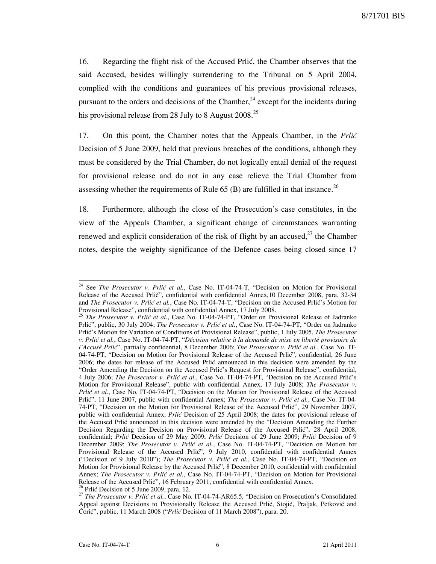16. Regarding the flight risk of the Accused Prlić, the Chamber observes that the said Accused, besides willingly surrendering to the Tribunal on 5 April 2004, complied with the conditions and guarantees of his previous provisional releases, pursuant to the orders and decisions of the Chamber,<sup>24</sup> except for the incidents during his provisional release from 28 July to 8 August 2008.<sup>25</sup>

17. On this point, the Chamber notes that the Appeals Chamber, in the Prlić Decision of 5 June 2009, held that previous breaches of the conditions, although they must be considered by the Trial Chamber, do not logically entail denial of the request for provisional release and do not in any case relieve the Trial Chamber from assessing whether the requirements of Rule  $65$  (B) are fulfilled in that instance.<sup>26</sup>

18. Furthermore, although the close of the Prosecution's case constitutes, in the view of the Appeals Chamber, a significant change of circumstances warranting renewed and explicit consideration of the risk of flight by an accused, $2^7$  the Chamber notes, despite the weighty significance of the Defence cases being closed since 17

<sup>&</sup>lt;sup>24</sup> See The Prosecutor v. Prlić et al., Case No. IT-04-74-T, "Decision on Motion for Provisional Release of the Accused Prlić", confidential with confidential Annex,10 December 2008, para. 32-34 and The Prosecutor v. Prlić et al., Case No. IT-04-74-T, "Decision on the Accused Prlić's Motion for Provisional Release", confidential with confidential Annex, 17 July 2008.

<sup>&</sup>lt;sup>25</sup> The Prosecutor v. Prlić et al., Case No. IT-04-74-PT, "Order on Provisional Release of Jadranko Prlić", public, 30 July 2004; The Prosecutor v. Prlić et al., Case No. IT-04-74-PT, "Order on Jadranko Prlić's Motion for Variation of Conditions of Provisional Release", public, 1 July 2005, The Prosecutor v. Prlić et al., Case No. IT-04-74-PT, "Décision relative à la demande de mise en liberté provisoire de l'Accusé Prlić", partially confidential, 8 December 2006; The Prosecutor v. Prlić et al., Case No. IT-04-74-PT, "Decision on Motion for Provisional Release of the Accused Prlić", confidential, 26 June 2006; the dates for release of the Accused Prlić announced in this decision were amended by the "Order Amending the Decision on the Accused Prlić's Request for Provisional Release", confidential, 4 July 2006; The Prosecutor v. Prlić et al., Case No. IT-04-74-PT, "Decision on the Accused Prlić's Motion for Provisional Release", public with confidential Annex, 17 July 2008; The Prosecutor v. Prlić et al., Case No. IT-04-74-PT, "Decision on the Motion for Provisional Release of the Accused Prlić", 11 June 2007, public with confidential Annex; The Prosecutor v. Prlić et al., Case No. IT-04-74-PT, "Decision on the Motion for Provisional Release of the Accused Prlić", 29 November 2007, public with confidential Annex; Prlić Decision of 25 April 2008; the dates for provisional release of the Accused Prlić announced in this decision were amended by the "Decision Amending the Further Decision Regarding the Decision on Provisional Release of the Accused Prlić", 28 April 2008, confidential; Prlić Decision of 29 May 2009; Prlić Decision of 29 June 2009; Prlić Decision of 9 December 2009; The Prosecutor v. Prlić et al., Case No. IT-04-74-PT, "Decision on Motion for Provisional Release of the Accused Prlić", 9 July 2010, confidential with confidential Annex ("Decision of 9 July 2010"); The Prosecutor v. Prlić et al., Case No. IT-04-74-PT, "Decision on Motion for Provisional Release by the Accused Prlić", 8 December 2010, confidential with confidential Annex; The Prosecutor v. Prlić et al., Case No. IT-04-74-PT, "Decision on Motion for Provisional Release of the Accused Prlić", 16 February 2011, confidential with confidential Annex.  $<sup>5</sup>$  Prlić Decision of 5 June 2009, para. 12.</sup>

<sup>&</sup>lt;sup>27</sup> The Prosecutor v. Prlić et al., Case No. IT-04-74-AR65.5, "Decision on Prosecution's Consolidated Appeal against Decisions to Provisionally Release the Accused Prlić, Stojić, Praljak, Petković and Ćorić", public, 11 March 2008 ("Prlić Decision of 11 March 2008"), para. 20.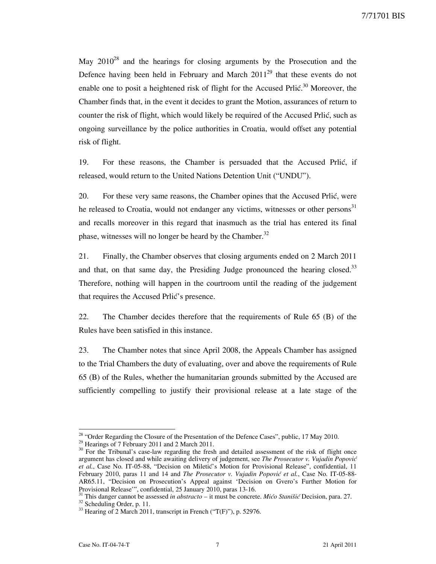May  $2010^{28}$  and the hearings for closing arguments by the Prosecution and the Defence having been held in February and March  $2011^{29}$  that these events do not enable one to posit a heightened risk of flight for the Accused Prlić.<sup>30</sup> Moreover, the Chamber finds that, in the event it decides to grant the Motion, assurances of return to counter the risk of flight, which would likely be required of the Accused Prlić, such as ongoing surveillance by the police authorities in Croatia, would offset any potential risk of flight.

19. For these reasons, the Chamber is persuaded that the Accused Prlić, if released, would return to the United Nations Detention Unit ("UNDU").

20. For these very same reasons, the Chamber opines that the Accused Prlić, were he released to Croatia, would not endanger any victims, witnesses or other persons<sup>31</sup> and recalls moreover in this regard that inasmuch as the trial has entered its final phase, witnesses will no longer be heard by the Chamber.<sup>32</sup>

21. Finally, the Chamber observes that closing arguments ended on 2 March 2011 and that, on that same day, the Presiding Judge pronounced the hearing closed. $33$ Therefore, nothing will happen in the courtroom until the reading of the judgement that requires the Accused Prlić's presence.

22. The Chamber decides therefore that the requirements of Rule 65 (B) of the Rules have been satisfied in this instance.

23. The Chamber notes that since April 2008, the Appeals Chamber has assigned to the Trial Chambers the duty of evaluating, over and above the requirements of Rule 65 (B) of the Rules, whether the humanitarian grounds submitted by the Accused are sufficiently compelling to justify their provisional release at a late stage of the

<sup>&</sup>lt;sup>28</sup> "Order Regarding the Closure of the Presentation of the Defence Cases", public,  $17$  May 2010.

<sup>&</sup>lt;sup>29</sup> Hearings of 7 February 2011 and 2 March 2011.

<sup>&</sup>lt;sup>30</sup> For the Tribunal's case-law regarding the fresh and detailed assessment of the risk of flight once argument has closed and while awaiting delivery of judgement, see The Prosecutor v. Vujadin Popović et al., Case No. IT-05-88, "Decision on Miletić's Motion for Provisional Release", confidential, 11 February 2010, paras 11 and 14 and The Prosecutor v. Vujadin Popović et al., Case No. IT-05-88-AR65.11, "Decision on Prosecution's Appeal against 'Decision on Gvero's Further Motion for Provisional Release'", confidential, 25 January 2010, paras 13-16.

 $31$  This danger cannot be assessed in *abstracto* – it must be concrete. *Mićo Stanišić* Decision, para. 27.

<sup>&</sup>lt;sup>32</sup> Scheduling Order, p. 11.

 $33$  Hearing of 2 March 2011, transcript in French ("T(F)"), p. 52976.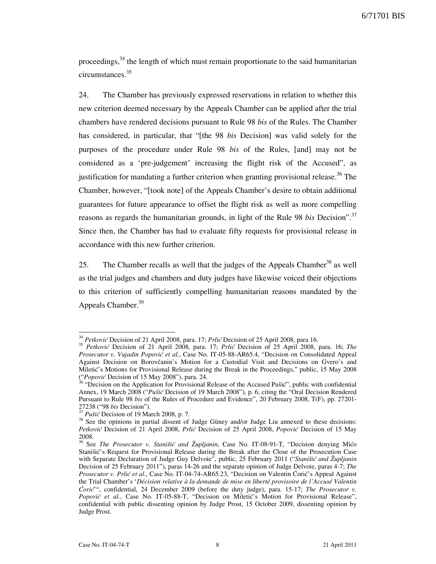proceedings,<sup>34</sup> the length of which must remain proportionate to the said humanitarian circumstances.<sup>35</sup>

24. The Chamber has previously expressed reservations in relation to whether this new criterion deemed necessary by the Appeals Chamber can be applied after the trial chambers have rendered decisions pursuant to Rule 98 bis of the Rules. The Chamber has considered, in particular, that "[the 98 *bis* Decision] was valid solely for the purposes of the procedure under Rule 98 bis of the Rules, [and] may not be considered as a 'pre-judgement' increasing the flight risk of the Accused", as justification for mandating a further criterion when granting provisional release.<sup>36</sup> The Chamber, however, "[took note] of the Appeals Chamber's desire to obtain additional guarantees for future appearance to offset the flight risk as well as more compelling reasons as regards the humanitarian grounds, in light of the Rule 98 bis Decision".<sup>37</sup> Since then, the Chamber has had to evaluate fifty requests for provisional release in accordance with this new further criterion.

25. The Chamber recalls as well that the judges of the Appeals Chamber<sup>38</sup> as well as the trial judges and chambers and duty judges have likewise voiced their objections to this criterion of sufficiently compelling humanitarian reasons mandated by the Appeals Chamber.<sup>39</sup>

<sup>&</sup>lt;sup>34</sup> Petković Decision of 21 April 2008, para. 17; Prlić Decision of 25 April 2008, para 16.

<sup>&</sup>lt;sup>35</sup> Petković Decision of 21 April 2008, para. 17; Prlić Decision of 25 April 2008, para. 16; The Prosecutor v. Vujadin Popović et al., Case No. IT-05-88-AR65.4, "Decision on Consolidated Appeal Against Decision on Borovčanin's Motion for a Custodial Visit and Decisions on Gvero's and Miletić's Motions for Provisional Release during the Break in the Proceedings," public, 15 May 2008 ("*Popović* Decision of 15 May 2008"), para. 24.

<sup>&</sup>lt;sup>3</sup> "Decision on the Application for Provisional Release of the Accused Pušić", public with confidential Annex, 19 March 2008 ("Pušić Decision of 19 March 2008"), p. 6, citing the "Oral Decision Rendered Pursuant to Rule 98 bis of the Rules of Procedure and Evidence", 20 February 2008, T(F), pp. 27201-  $27238 ("98 bis Decision").$ 

Pušić Decision of 19 March 2008, p. 7.

<sup>&</sup>lt;sup>38</sup> See the opinions in partial dissent of Judge Güney and/or Judge Liu annexed to these decisions: Petković Decision of 21 April 2008, Prlić Decision of 25 April 2008, Popović Decision of 15 May 2008.

<sup>&</sup>lt;sup>39</sup> See The Prosecutor v. Stanišić and Župljanin, Case No. IT-08-91-T, "Decision denying Mićo Stanišić's Request for Provisional Release during the Break after the Close of the Prosecution Case with Separate Declaration of Judge Guy Delvoie", public, 25 February 2011 ("Stanišić and Župljanin Decision of 25 February 2011"), paras 14-26 and the separate opinion of Judge Delvoie, paras 4-7; The Prosecutor v. Prlić et al., Case No. IT-04-74-AR65.23, "Decision on Valentin Ćorić's Appeal Against the Trial Chamber's 'Décision relative à la demande de mise en liberté provisoire de l'Accusé Valentin Ćorić'", confidential, 24 December 2009 (before the duty judge), para. 15-17; The Prosecutor v. Popović et al., Case No. IT-05-88-T, "Decision on Miletić's Motion for Provisional Release", confidential with public dissenting opinion by Judge Prost, 15 October 2009, dissenting opinion by Judge Prost.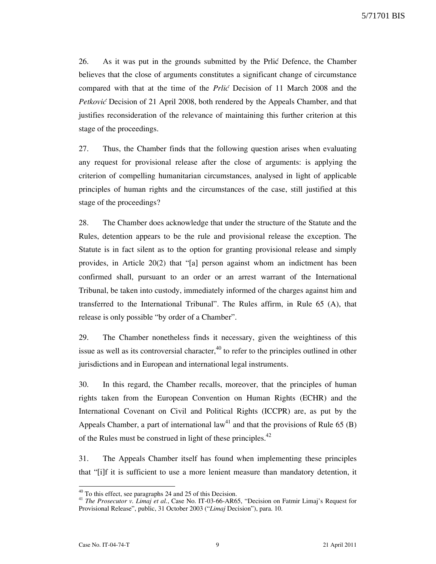26. As it was put in the grounds submitted by the Prlić Defence, the Chamber believes that the close of arguments constitutes a significant change of circumstance compared with that at the time of the Prlić Decision of 11 March 2008 and the Petković Decision of 21 April 2008, both rendered by the Appeals Chamber, and that justifies reconsideration of the relevance of maintaining this further criterion at this stage of the proceedings.

27. Thus, the Chamber finds that the following question arises when evaluating any request for provisional release after the close of arguments: is applying the criterion of compelling humanitarian circumstances, analysed in light of applicable principles of human rights and the circumstances of the case, still justified at this stage of the proceedings?

28. The Chamber does acknowledge that under the structure of the Statute and the Rules, detention appears to be the rule and provisional release the exception. The Statute is in fact silent as to the option for granting provisional release and simply provides, in Article 20(2) that "[a] person against whom an indictment has been confirmed shall, pursuant to an order or an arrest warrant of the International Tribunal, be taken into custody, immediately informed of the charges against him and transferred to the International Tribunal". The Rules affirm, in Rule 65 (A), that release is only possible "by order of a Chamber".

29. The Chamber nonetheless finds it necessary, given the weightiness of this issue as well as its controversial character,  $40$  to refer to the principles outlined in other jurisdictions and in European and international legal instruments.

30. In this regard, the Chamber recalls, moreover, that the principles of human rights taken from the European Convention on Human Rights (ECHR) and the International Covenant on Civil and Political Rights (ICCPR) are, as put by the Appeals Chamber, a part of international law<sup>41</sup> and that the provisions of Rule 65 (B) of the Rules must be construed in light of these principles. $42$ 

31. The Appeals Chamber itself has found when implementing these principles that "[i]f it is sufficient to use a more lenient measure than mandatory detention, it

l

 $40$  To this effect, see paragraphs 24 and 25 of this Decision.

<sup>&</sup>lt;sup>41</sup> The Prosecutor v. Limaj et al., Case No. IT-03-66-AR65, "Decision on Fatmir Limaj's Request for Provisional Release", public, 31 October 2003 ("Limaj Decision"), para. 10.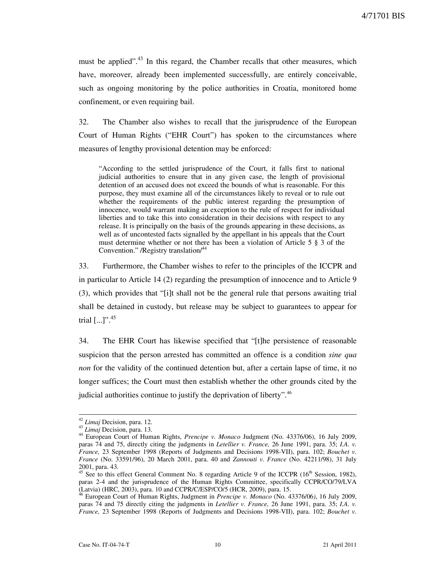must be applied".<sup>43</sup> In this regard, the Chamber recalls that other measures, which have, moreover, already been implemented successfully, are entirely conceivable, such as ongoing monitoring by the police authorities in Croatia, monitored home confinement, or even requiring bail.

32. The Chamber also wishes to recall that the jurisprudence of the European Court of Human Rights ("EHR Court") has spoken to the circumstances where measures of lengthy provisional detention may be enforced:

"According to the settled jurisprudence of the Court, it falls first to national judicial authorities to ensure that in any given case, the length of provisional detention of an accused does not exceed the bounds of what is reasonable. For this purpose, they must examine all of the circumstances likely to reveal or to rule out whether the requirements of the public interest regarding the presumption of innocence, would warrant making an exception to the rule of respect for individual liberties and to take this into consideration in their decisions with respect to any release. It is principally on the basis of the grounds appearing in these decisions, as well as of uncontested facts signalled by the appellant in his appeals that the Court must determine whether or not there has been a violation of Article 5 § 3 of the Convention." /Registry translation/<sup>44</sup>

33. Furthermore, the Chamber wishes to refer to the principles of the ICCPR and in particular to Article 14 (2) regarding the presumption of innocence and to Article 9 (3), which provides that "[i]t shall not be the general rule that persons awaiting trial shall be detained in custody, but release may be subject to guarantees to appear for trial  $[...]$ ".  $45$ 

34. The EHR Court has likewise specified that "[t]he persistence of reasonable suspicion that the person arrested has committed an offence is a condition *sine qua* non for the validity of the continued detention but, after a certain lapse of time, it no longer suffices; the Court must then establish whether the other grounds cited by the judicial authorities continue to justify the deprivation of liberty".<sup>46</sup>

<sup>&</sup>lt;sup>42</sup> Limaj Decision, para. 12.

<sup>&</sup>lt;sup>43</sup> Limaj Decision, para. 13.

<sup>44</sup> European Court of Human Rights, *Prencipe v. Monaco* Judgment (No. 43376/06), 16 July 2009, paras 74 and 75, directly citing the judgments in Letellier v. France, 26 June 1991, para. 35; I.A. v. France, 23 September 1998 (Reports of Judgments and Decisions 1998-VII), para. 102; Bouchet v. France (No. 33591/96), 20 March 2001, para. 40 and Zannouti v. France (No. 42211/98), 31 July 2001, para. 43.

<sup>&</sup>lt;sup>45</sup> See to this effect General Comment No. 8 regarding Article 9 of the ICCPR (16<sup>th</sup> Session, 1982), paras 2-4 and the jurisprudence of the Human Rights Committee, specifically CCPR/CO/79/LVA (Latvia) (HRC, 2003), para. 10 and CCPR/C/ESP/CO/5 (HCR, 2009), para. 15.

 $\overline{\text{F}}$  European Court of Human Rights, Judgment in Prencipe v. Monaco (No. 43376/06), 16 July 2009, paras 74 and 75 directly citing the judgments in Letellier v. France, 26 June 1991, para. 35; I.A. v. France, 23 September 1998 (Reports of Judgments and Decisions 1998-VII), para. 102; Bouchet v.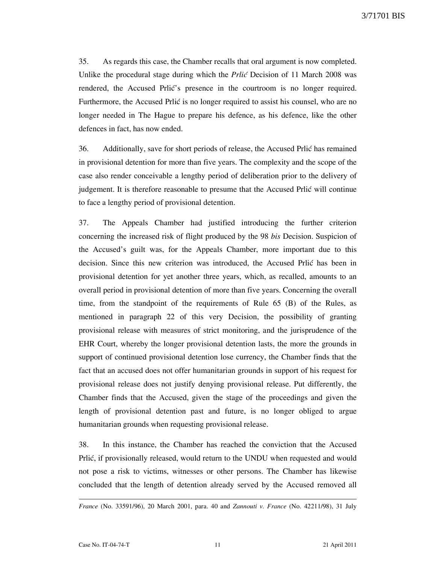35. As regards this case, the Chamber recalls that oral argument is now completed. Unlike the procedural stage during which the *Prlić* Decision of 11 March 2008 was rendered, the Accused Prlić's presence in the courtroom is no longer required. Furthermore, the Accused Prlić is no longer required to assist his counsel, who are no longer needed in The Hague to prepare his defence, as his defence, like the other defences in fact, has now ended.

36. Additionally, save for short periods of release, the Accused Prlić has remained in provisional detention for more than five years. The complexity and the scope of the case also render conceivable a lengthy period of deliberation prior to the delivery of judgement. It is therefore reasonable to presume that the Accused Prlić will continue to face a lengthy period of provisional detention.

37. The Appeals Chamber had justified introducing the further criterion concerning the increased risk of flight produced by the 98 bis Decision. Suspicion of the Accused's guilt was, for the Appeals Chamber, more important due to this decision. Since this new criterion was introduced, the Accused Prlić has been in provisional detention for yet another three years, which, as recalled, amounts to an overall period in provisional detention of more than five years. Concerning the overall time, from the standpoint of the requirements of Rule 65 (B) of the Rules, as mentioned in paragraph 22 of this very Decision, the possibility of granting provisional release with measures of strict monitoring, and the jurisprudence of the EHR Court, whereby the longer provisional detention lasts, the more the grounds in support of continued provisional detention lose currency, the Chamber finds that the fact that an accused does not offer humanitarian grounds in support of his request for provisional release does not justify denying provisional release. Put differently, the Chamber finds that the Accused, given the stage of the proceedings and given the length of provisional detention past and future, is no longer obliged to argue humanitarian grounds when requesting provisional release.

38. In this instance, the Chamber has reached the conviction that the Accused Prlić, if provisionally released, would return to the UNDU when requested and would not pose a risk to victims, witnesses or other persons. The Chamber has likewise concluded that the length of detention already served by the Accused removed all

l

France (No. 33591/96), 20 March 2001, para. 40 and Zannouti v. France (No. 42211/98), 31 July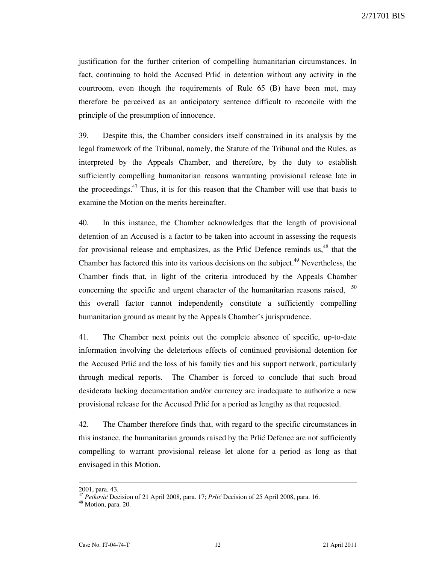justification for the further criterion of compelling humanitarian circumstances. In fact, continuing to hold the Accused Prlić in detention without any activity in the courtroom, even though the requirements of Rule 65 (B) have been met, may therefore be perceived as an anticipatory sentence difficult to reconcile with the principle of the presumption of innocence.

39. Despite this, the Chamber considers itself constrained in its analysis by the legal framework of the Tribunal, namely, the Statute of the Tribunal and the Rules, as interpreted by the Appeals Chamber, and therefore, by the duty to establish sufficiently compelling humanitarian reasons warranting provisional release late in the proceedings. $47$  Thus, it is for this reason that the Chamber will use that basis to examine the Motion on the merits hereinafter.

40. In this instance, the Chamber acknowledges that the length of provisional detention of an Accused is a factor to be taken into account in assessing the requests for provisional release and emphasizes, as the Prlić Defence reminds us, $48$  that the Chamber has factored this into its various decisions on the subject.<sup>49</sup> Nevertheless, the Chamber finds that, in light of the criteria introduced by the Appeals Chamber concerning the specific and urgent character of the humanitarian reasons raised, <sup>50</sup> this overall factor cannot independently constitute a sufficiently compelling humanitarian ground as meant by the Appeals Chamber's jurisprudence.

41. The Chamber next points out the complete absence of specific, up-to-date information involving the deleterious effects of continued provisional detention for the Accused Prlić and the loss of his family ties and his support network, particularly through medical reports. The Chamber is forced to conclude that such broad desiderata lacking documentation and/or currency are inadequate to authorize a new provisional release for the Accused Prlić for a period as lengthy as that requested.

42. The Chamber therefore finds that, with regard to the specific circumstances in this instance, the humanitarian grounds raised by the Prlić Defence are not sufficiently compelling to warrant provisional release let alone for a period as long as that envisaged in this Motion.

l

<sup>2001,</sup> para. 43.

<sup>&</sup>lt;sup>47</sup> Petković Decision of 21 April 2008, para. 17; Prlić Decision of 25 April 2008, para. 16.

<sup>&</sup>lt;sup>48</sup> Motion, para. 20.